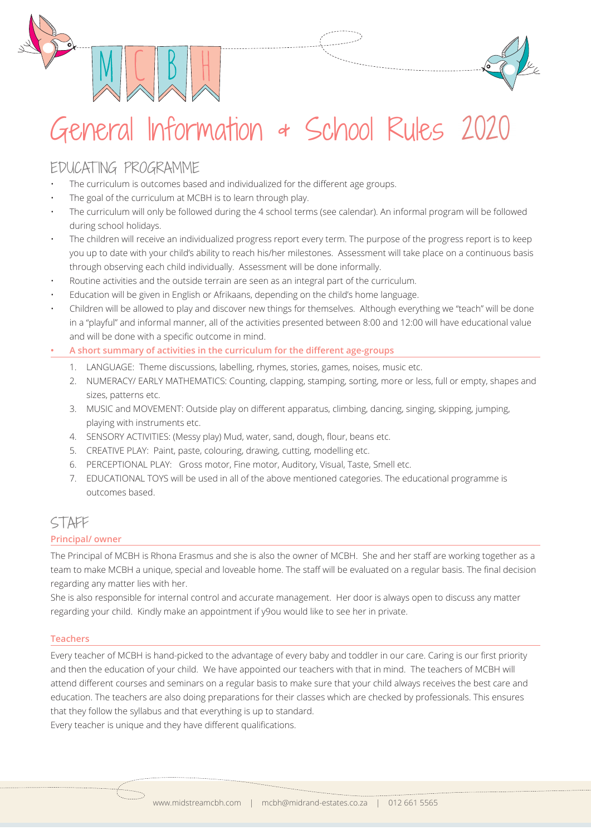



# General Information & School Rules 20

# EDUCATING PROGRAMME

- The curriculum is outcomes based and individualized for the different age groups.
- The goal of the curriculum at MCBH is to learn through play.
- The curriculum will only be followed during the 4 school terms (see calendar). An informal program will be followed during school holidays.
- The children will receive an individualized progress report every term. The purpose of the progress report is to keep you up to date with your child's ability to reach his/her milestones. Assessment will take place on a continuous basis through observing each child individually. Assessment will be done informally.
- Routine activities and the outside terrain are seen as an integral part of the curriculum.
- Education will be given in English or Afrikaans, depending on the child's home language.
- Children will be allowed to play and discover new things for themselves. Although everything we "teach" will be done in a "playful" and informal manner, all of the activities presented between 8:00 and 12:00 will have educational value and will be done with a specific outcome in mind.
- **A short summary of activities in the curriculum for the different age-groups**
	- 1. LANGUAGE: Theme discussions, labelling, rhymes, stories, games, noises, music etc.
	- 2. NUMERACY/ EARLY MATHEMATICS: Counting, clapping, stamping, sorting, more or less, full or empty, shapes and sizes, patterns etc.
	- 3. MUSIC and MOVEMENT: Outside play on different apparatus, climbing, dancing, singing, skipping, jumping, playing with instruments etc.
	- 4. SENSORY ACTIVITIES: (Messy play) Mud, water, sand, dough, flour, beans etc.
	- 5. CREATIVE PLAY: Paint, paste, colouring, drawing, cutting, modelling etc.
	- 6. PERCEPTIONAL PLAY: Gross motor, Fine motor, Auditory, Visual, Taste, Smell etc.
	- 7. EDUCATIONAL TOYS will be used in all of the above mentioned categories. The educational programme is outcomes based.

## STAFF

### **Principal/ owner**

The Principal of MCBH is Rhona Erasmus and she is also the owner of MCBH. She and her staff are working together as a team to make MCBH a unique, special and loveable home. The staff will be evaluated on a regular basis. The final decision regarding any matter lies with her.

She is also responsible for internal control and accurate management. Her door is always open to discuss any matter regarding your child. Kindly make an appointment if y9ou would like to see her in private.

#### **Teachers**

Every teacher of MCBH is hand-picked to the advantage of every baby and toddler in our care. Caring is our first priority and then the education of your child. We have appointed our teachers with that in mind. The teachers of MCBH will attend different courses and seminars on a regular basis to make sure that your child always receives the best care and education. The teachers are also doing preparations for their classes which are checked by professionals. This ensures that they follow the syllabus and that everything is up to standard.

Every teacher is unique and they have different qualifications.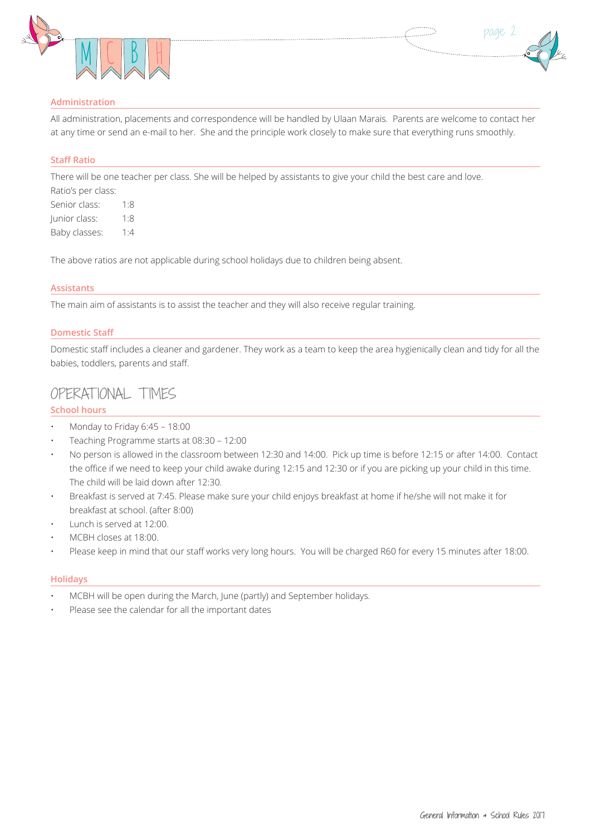



#### **Administration**

All administration, placements and correspondence will be handled by Ulaan Marais. Parents are welcome to contact her at any time or send an e-mail to her. She and the principle work closely to make sure that everything runs smoothly.

#### **Staff Ratio**

There will be one teacher per class. She will be helped by assistants to give your child the best care and love.

Ratio's per class: Senior class: 1:8 Junior class: 1:8 Baby classes: 1:4

The above ratios are not applicable during school holidays due to children being absent.

#### **Assistants**

The main aim of assistants is to assist the teacher and they will also receive regular training.

#### **Domestic Staff**

Domestic staff includes a cleaner and gardener. They work as a team to keep the area hygienically clean and tidy for all the babies, toddlers, parents and staff.

## OPERATIONAL TIMES

#### **School hours**

- Monday to Friday 6:45 18:00
- Teaching Programme starts at 08:30 12:00
- No person is allowed in the classroom between 12:30 and 14:00. Pick up time is before 12:15 or after 14:00. Contact the office if we need to keep your child awake during 12:15 and 12:30 or if you are picking up your child in this time. The child will be laid down after 12:30.
- Breakfast is served at 7:45. Please make sure your child enjoys breakfast at home if he/she will not make it for breakfast at school. (after 8:00)
- Lunch is served at 12:00.
- MCBH closes at 18:00.
- Please keep in mind that our staff works very long hours. You will be charged R60 for every 15 minutes after 18:00.

#### **Holidays**

- MCBH will be open during the March, June (partly) and September holidays.
- Please see the calendar for all the important dates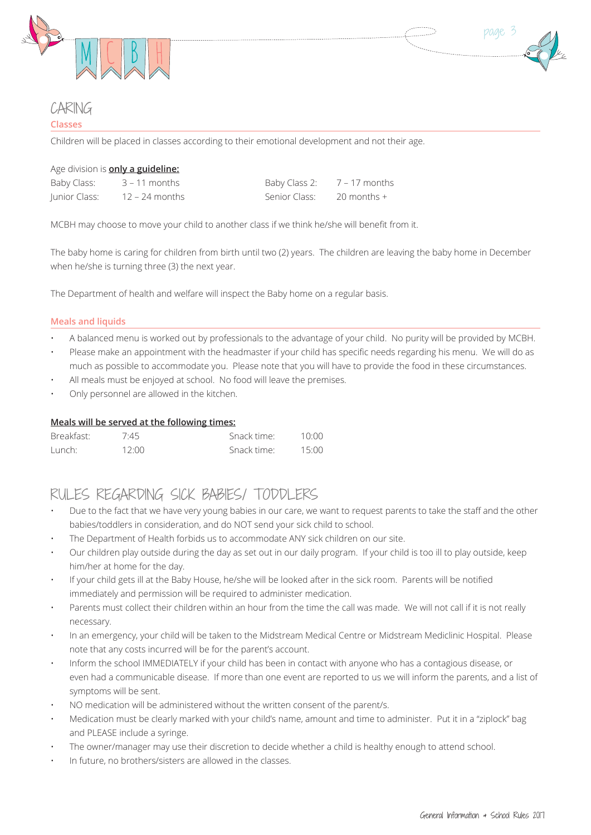



## CARING

#### **Classes**

Children will be placed in classes according to their emotional development and not their age.

| Age division is <b>only a guideline:</b> |                |                |               |  |  |
|------------------------------------------|----------------|----------------|---------------|--|--|
| Baby Class:                              | 3 – 11 months  | Baby Class 2:  | 7 – 17 months |  |  |
| Junior Class:                            | 12 – 24 months | : Senior Class | – 20 months + |  |  |

MCBH may choose to move your child to another class if we think he/she will benefit from it.

The baby home is caring for children from birth until two (2) years. The children are leaving the baby home in December when he/she is turning three (3) the next year.

The Department of health and welfare will inspect the Baby home on a regular basis.

#### **Meals and liquids**

- A balanced menu is worked out by professionals to the advantage of your child. No purity will be provided by MCBH.
- Please make an appointment with the headmaster if your child has specific needs regarding his menu. We will do as much as possible to accommodate you. Please note that you will have to provide the food in these circumstances.
- All meals must be enjoyed at school. No food will leave the premises.
- Only personnel are allowed in the kitchen.

#### **Meals will be served at the following times:**

| Breakfast: | 7.45  | Snack time: | 10:00 |
|------------|-------|-------------|-------|
| Lunch:     | 12:00 | Snack time: | 15:00 |

## RULES REGARDING SICK BABIES/ TODDLERS

- Due to the fact that we have very young babies in our care, we want to request parents to take the staff and the other babies/toddlers in consideration, and do NOT send your sick child to school.
- The Department of Health forbids us to accommodate ANY sick children on our site.
- Our children play outside during the day as set out in our daily program. If your child is too ill to play outside, keep him/her at home for the day.
- If your child gets ill at the Baby House, he/she will be looked after in the sick room. Parents will be notified immediately and permission will be required to administer medication.
- Parents must collect their children within an hour from the time the call was made. We will not call if it is not really necessary.
- In an emergency, your child will be taken to the Midstream Medical Centre or Midstream Mediclinic Hospital. Please note that any costs incurred will be for the parent's account.
- Inform the school IMMEDIATELY if your child has been in contact with anyone who has a contagious disease, or even had a communicable disease. If more than one event are reported to us we will inform the parents, and a list of symptoms will be sent.
- NO medication will be administered without the written consent of the parent/s.
- Medication must be clearly marked with your child's name, amount and time to administer. Put it in a "ziplock" bag and PLEASE include a syringe.
- The owner/manager may use their discretion to decide whether a child is healthy enough to attend school.
- In future, no brothers/sisters are allowed in the classes.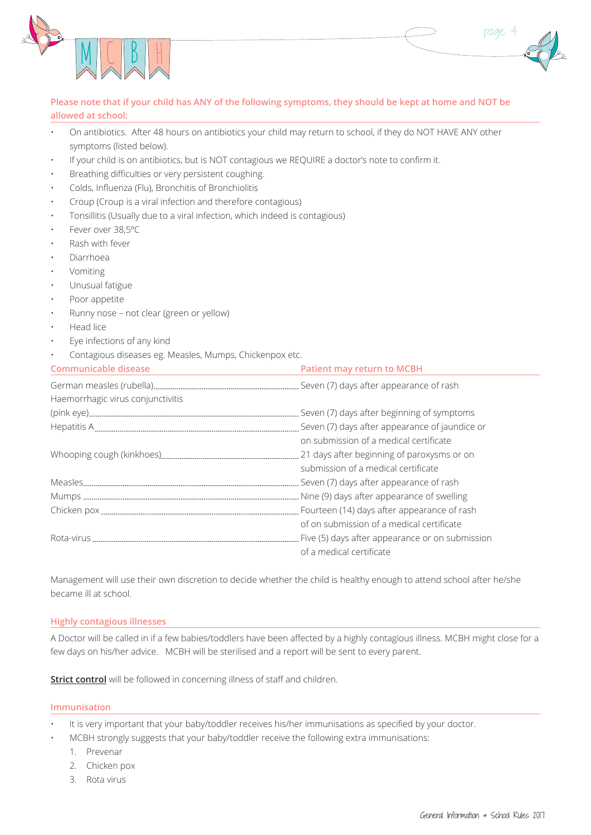



#### Please note that if your child has ANY of the following symptoms, they should be kept at home and NOT be **allowed at school:**

- On antibiotics. After 48 hours on antibiotics your child may return to school, if they do NOT HAVE ANY other symptoms (listed below).
- If your child is on antibiotics, but is NOT contagious we REQUIRE a doctor's note to confirm it.
- Breathing difficulties or very persistent coughing.
- Colds, Influenza (Flu), Bronchitis of Bronchiolitis
- Croup (Croup is a viral infection and therefore contagious)
- Tonsillitis (Usually due to a viral infection, which indeed is contagious)
- Fever over 38,5°C
- Rash with fever
- Diarrhoea
- **Vomiting**
- Unusual fatigue
- Poor appetite
- Runny nose not clear (green or yellow)
- Head lice
- Eye infections of any kind
- Contagious diseases eg. Measles, Mumps, Chickenpox etc.

| <b>Communicable disease</b>       | <b>Patient may return to MCBH</b>                 |
|-----------------------------------|---------------------------------------------------|
|                                   |                                                   |
| Haemorrhagic virus conjunctivitis |                                                   |
|                                   |                                                   |
|                                   | Seven (7) days after appearance of jaundice or    |
|                                   | on submission of a medical certificate            |
|                                   |                                                   |
|                                   | submission of a medical certificate               |
|                                   | Seven (7) days after appearance of rash           |
|                                   |                                                   |
|                                   | . Fourteen (14) days after appearance of rash     |
|                                   | of on submission of a medical certificate         |
|                                   | . Five (5) days after appearance or on submission |
|                                   | of a medical certificate                          |

Management will use their own discretion to decide whether the child is healthy enough to attend school after he/she became ill at school.

#### **Highly contagious illnesses**

A Doctor will be called in if a few babies/toddlers have been affected by a highly contagious illness. MCBH might close for a few days on his/her advice. MCBH will be sterilised and a report will be sent to every parent.

**Strict control** will be followed in concerning illness of staff and children.

#### **Immunisation**

- It is very important that your baby/toddler receives his/her immunisations as specified by your doctor.
- MCBH strongly suggests that your baby/toddler receive the following extra immunisations:
	- 1. Prevenar
	- 2. Chicken pox
	- 3. Rota virus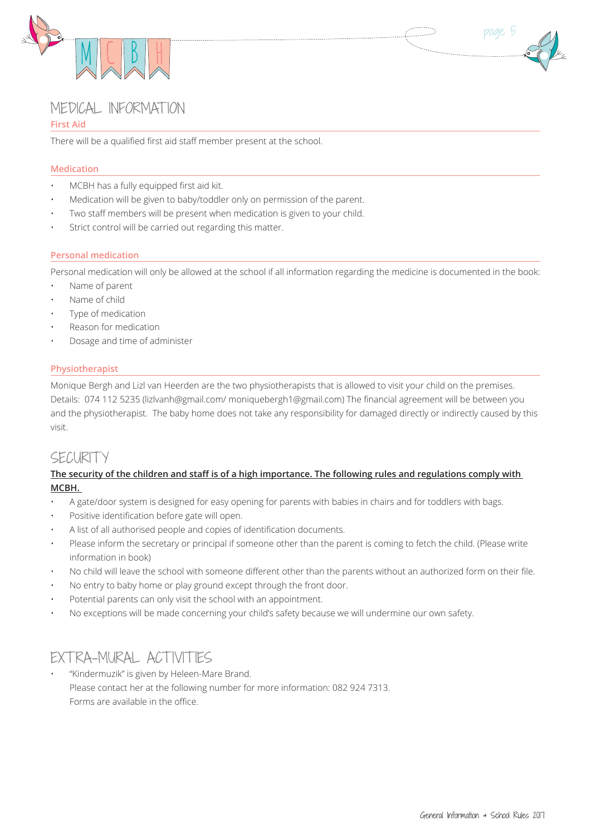



## MEDICAL INFORMAT ION

#### **First Aid**

There will be a qualified first aid staff member present at the school.

#### **Medication**

- MCBH has a fully equipped first aid kit.
- Medication will be given to baby/toddler only on permission of the parent.
- Two staff members will be present when medication is given to your child.
- Strict control will be carried out regarding this matter.

#### **Personal medication**

Personal medication will only be allowed at the school if all information regarding the medicine is documented in the book:

- Name of parent
- Name of child
- Type of medication
- Reason for medication
- Dosage and time of administer

#### **Physiotherapist**

Monique Bergh and Lizl van Heerden are the two physiotherapists that is allowed to visit your child on the premises. Details: 074 112 5235 (lizlvanh@gmail.com/ moniquebergh1@gmail.com) The financial agreement will be between you and the physiotherapist. The baby home does not take any responsibility for damaged directly or indirectly caused by this visit. 

## SECURITY

#### The security of the children and staff is of a high importance. The following rules and regulations comply with **MCBH.**

- A gate/door system is designed for easy opening for parents with babies in chairs and for toddlers with bags.
- Positive identification before gate will open.
- A list of all authorised people and copies of identification documents.
- Please inform the secretary or principal if someone other than the parent is coming to fetch the child. (Please write information in book)
- No child will leave the school with someone different other than the parents without an authorized form on their file.
- No entry to baby home or play ground except through the front door.
- Potential parents can only visit the school with an appointment.
- No exceptions will be made concerning your child's safety because we will undermine our own safety.

## EXT RA-MURAL ACT IVIT IES

"Kindermuzik" is given by Heleen-Mare Brand. Please contact her at the following number for more information: 082 924 7313. Forms are available in the office.